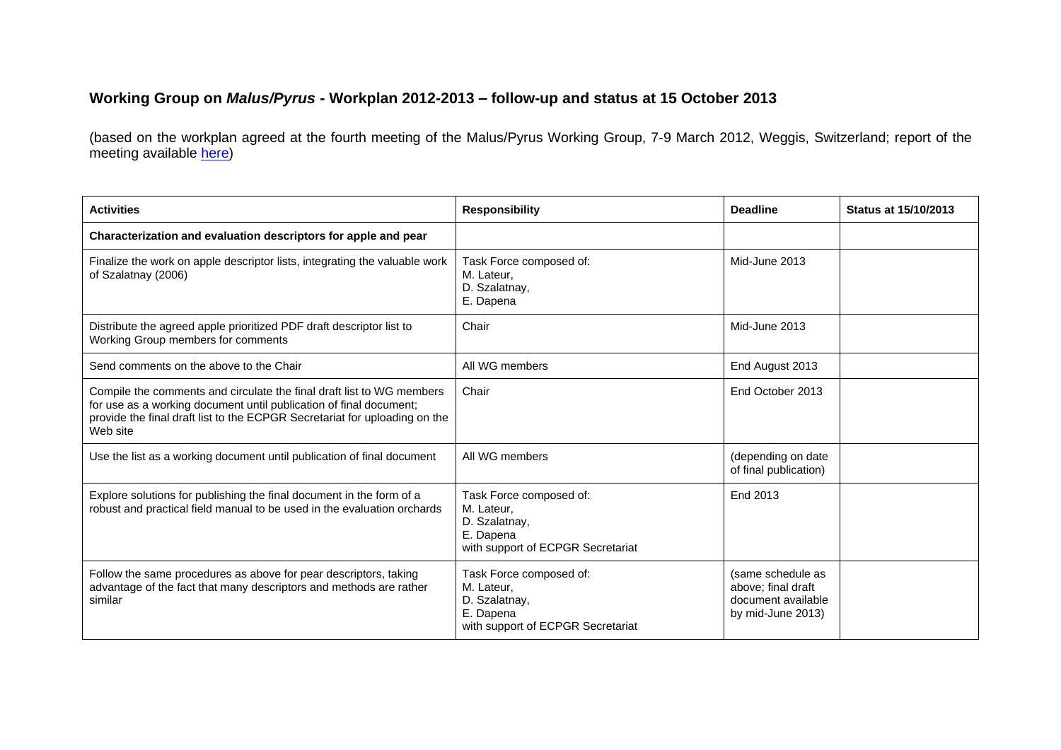## **Working Group on** *Malus/Pyrus* **- Workplan 2012-2013 – follow-up and status at 15 October 2013**

(based on the workplan agreed at the fourth meeting of the Malus/Pyrus Working Group, 7-9 March 2012, Weggis, Switzerland; report of the meeting available [here\)](http://www.ecpgr.cgiar.org/publications/publication/issue/report_of_a_working_group_on_emmaluspyrusem-3.html)

| <b>Activities</b>                                                                                                                                                                                                                     | <b>Responsibility</b>                                                                                    | <b>Deadline</b>                                                                    | <b>Status at 15/10/2013</b> |
|---------------------------------------------------------------------------------------------------------------------------------------------------------------------------------------------------------------------------------------|----------------------------------------------------------------------------------------------------------|------------------------------------------------------------------------------------|-----------------------------|
| Characterization and evaluation descriptors for apple and pear                                                                                                                                                                        |                                                                                                          |                                                                                    |                             |
| Finalize the work on apple descriptor lists, integrating the valuable work<br>of Szalatnay (2006)                                                                                                                                     | Task Force composed of:<br>M. Lateur,<br>D. Szalatnay,<br>E. Dapena                                      | Mid-June 2013                                                                      |                             |
| Distribute the agreed apple prioritized PDF draft descriptor list to<br>Working Group members for comments                                                                                                                            | Chair                                                                                                    | Mid-June 2013                                                                      |                             |
| Send comments on the above to the Chair                                                                                                                                                                                               | All WG members                                                                                           | End August 2013                                                                    |                             |
| Compile the comments and circulate the final draft list to WG members<br>for use as a working document until publication of final document;<br>provide the final draft list to the ECPGR Secretariat for uploading on the<br>Web site | Chair                                                                                                    | End October 2013                                                                   |                             |
| Use the list as a working document until publication of final document                                                                                                                                                                | All WG members                                                                                           | (depending on date<br>of final publication)                                        |                             |
| Explore solutions for publishing the final document in the form of a<br>robust and practical field manual to be used in the evaluation orchards                                                                                       | Task Force composed of:<br>M. Lateur,<br>D. Szalatnay,<br>E. Dapena<br>with support of ECPGR Secretariat | End 2013                                                                           |                             |
| Follow the same procedures as above for pear descriptors, taking<br>advantage of the fact that many descriptors and methods are rather<br>similar                                                                                     | Task Force composed of:<br>M. Lateur.<br>D. Szalatnay,<br>E. Dapena<br>with support of ECPGR Secretariat | (same schedule as<br>above; final draft<br>document available<br>by mid-June 2013) |                             |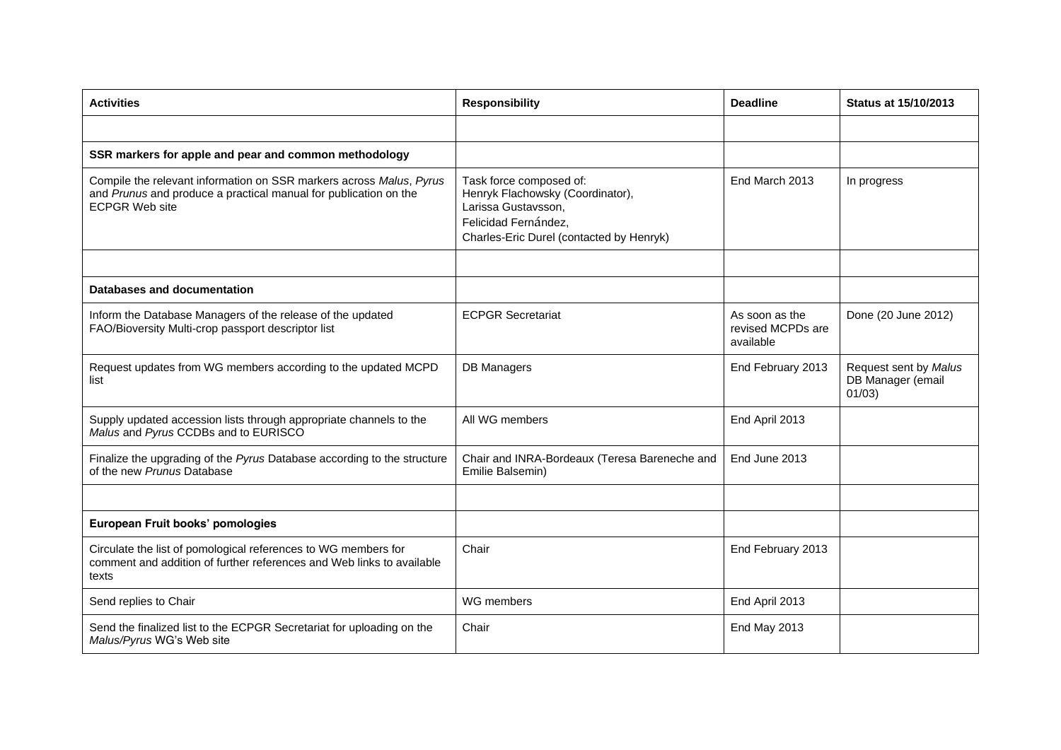| <b>Activities</b>                                                                                                                                                | <b>Responsibility</b>                                                                                                                                  | <b>Deadline</b>                                  | <b>Status at 15/10/2013</b>                          |
|------------------------------------------------------------------------------------------------------------------------------------------------------------------|--------------------------------------------------------------------------------------------------------------------------------------------------------|--------------------------------------------------|------------------------------------------------------|
|                                                                                                                                                                  |                                                                                                                                                        |                                                  |                                                      |
| SSR markers for apple and pear and common methodology                                                                                                            |                                                                                                                                                        |                                                  |                                                      |
| Compile the relevant information on SSR markers across Malus, Pyrus<br>and Prunus and produce a practical manual for publication on the<br><b>ECPGR Web site</b> | Task force composed of:<br>Henryk Flachowsky (Coordinator),<br>Larissa Gustavsson,<br>Felicidad Fernández,<br>Charles-Eric Durel (contacted by Henryk) | End March 2013                                   | In progress                                          |
|                                                                                                                                                                  |                                                                                                                                                        |                                                  |                                                      |
| Databases and documentation                                                                                                                                      |                                                                                                                                                        |                                                  |                                                      |
| Inform the Database Managers of the release of the updated<br>FAO/Bioversity Multi-crop passport descriptor list                                                 | <b>ECPGR Secretariat</b>                                                                                                                               | As soon as the<br>revised MCPDs are<br>available | Done (20 June 2012)                                  |
| Request updates from WG members according to the updated MCPD<br>list                                                                                            | <b>DB Managers</b>                                                                                                                                     | End February 2013                                | Request sent by Malus<br>DB Manager (email<br>01/03) |
| Supply updated accession lists through appropriate channels to the<br>Malus and Pyrus CCDBs and to EURISCO                                                       | All WG members                                                                                                                                         | End April 2013                                   |                                                      |
| Finalize the upgrading of the Pyrus Database according to the structure<br>of the new Prunus Database                                                            | Chair and INRA-Bordeaux (Teresa Bareneche and<br>Emilie Balsemin)                                                                                      | End June 2013                                    |                                                      |
|                                                                                                                                                                  |                                                                                                                                                        |                                                  |                                                      |
| European Fruit books' pomologies                                                                                                                                 |                                                                                                                                                        |                                                  |                                                      |
| Circulate the list of pomological references to WG members for<br>comment and addition of further references and Web links to available<br>texts                 | Chair                                                                                                                                                  | End February 2013                                |                                                      |
| Send replies to Chair                                                                                                                                            | WG members                                                                                                                                             | End April 2013                                   |                                                      |
| Send the finalized list to the ECPGR Secretariat for uploading on the<br>Malus/Pyrus WG's Web site                                                               | Chair                                                                                                                                                  | End May 2013                                     |                                                      |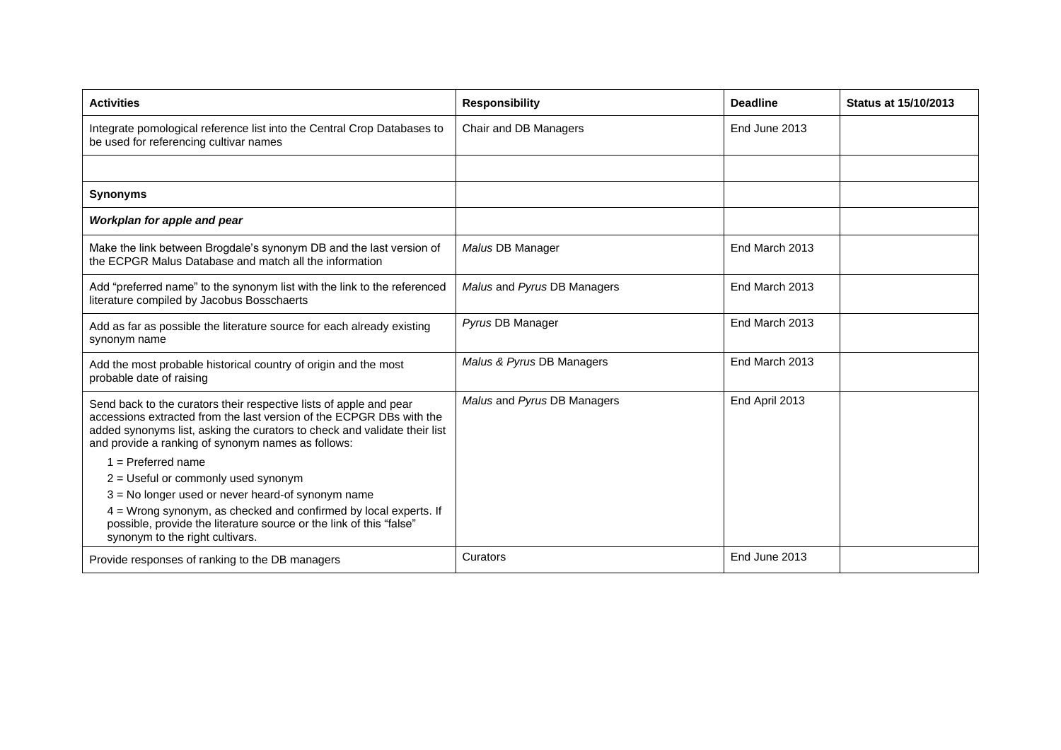| <b>Activities</b>                                                                                                                                                                                                                                                             | <b>Responsibility</b>       | <b>Deadline</b> | <b>Status at 15/10/2013</b> |
|-------------------------------------------------------------------------------------------------------------------------------------------------------------------------------------------------------------------------------------------------------------------------------|-----------------------------|-----------------|-----------------------------|
| Integrate pomological reference list into the Central Crop Databases to<br>be used for referencing cultivar names                                                                                                                                                             | Chair and DB Managers       | End June 2013   |                             |
|                                                                                                                                                                                                                                                                               |                             |                 |                             |
| <b>Synonyms</b>                                                                                                                                                                                                                                                               |                             |                 |                             |
| Workplan for apple and pear                                                                                                                                                                                                                                                   |                             |                 |                             |
| Make the link between Brogdale's synonym DB and the last version of<br>the ECPGR Malus Database and match all the information                                                                                                                                                 | Malus DB Manager            | End March 2013  |                             |
| Add "preferred name" to the synonym list with the link to the referenced<br>literature compiled by Jacobus Bosschaerts                                                                                                                                                        | Malus and Pyrus DB Managers | End March 2013  |                             |
| Add as far as possible the literature source for each already existing<br>synonym name                                                                                                                                                                                        | Pyrus DB Manager            | End March 2013  |                             |
| Add the most probable historical country of origin and the most<br>probable date of raising                                                                                                                                                                                   | Malus & Pyrus DB Managers   | End March 2013  |                             |
| Send back to the curators their respective lists of apple and pear<br>accessions extracted from the last version of the ECPGR DBs with the<br>added synonyms list, asking the curators to check and validate their list<br>and provide a ranking of synonym names as follows: | Malus and Pyrus DB Managers | End April 2013  |                             |
| $1 =$ Preferred name                                                                                                                                                                                                                                                          |                             |                 |                             |
| $2 =$ Useful or commonly used synonym                                                                                                                                                                                                                                         |                             |                 |                             |
| $3$ = No longer used or never heard-of synonym name                                                                                                                                                                                                                           |                             |                 |                             |
| 4 = Wrong synonym, as checked and confirmed by local experts. If<br>possible, provide the literature source or the link of this "false"<br>synonym to the right cultivars.                                                                                                    |                             |                 |                             |
| Provide responses of ranking to the DB managers                                                                                                                                                                                                                               | Curators                    | End June 2013   |                             |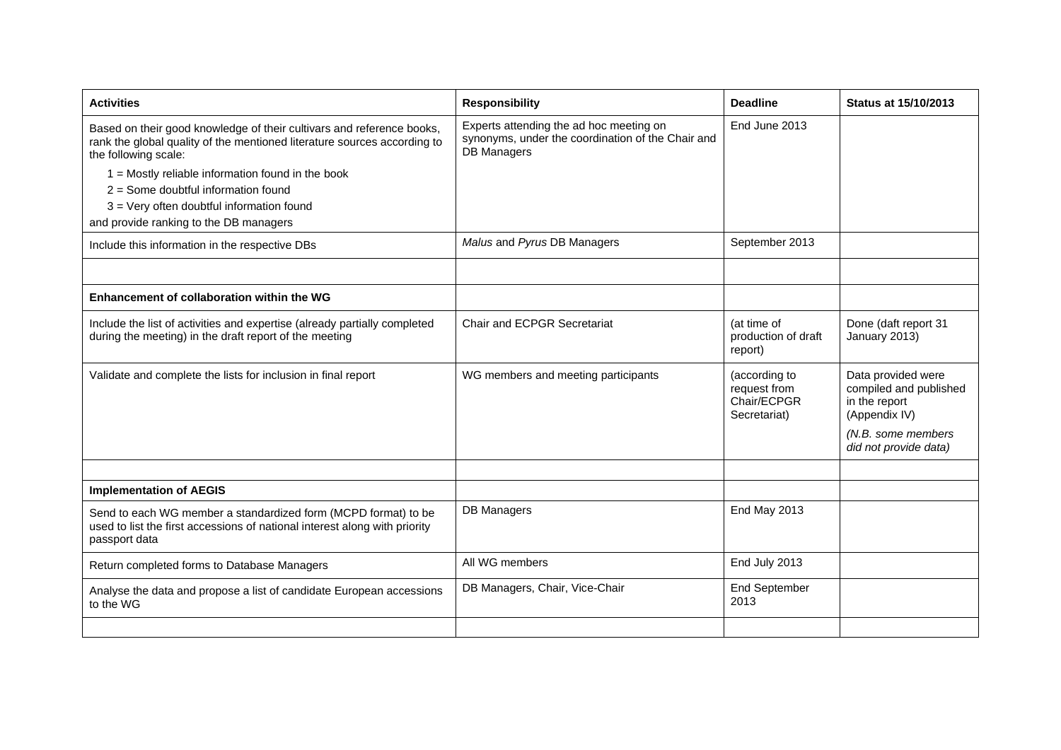| <b>Activities</b>                                                                                                                                                         | <b>Responsibility</b>                                                                                              | <b>Deadline</b>                                              | <b>Status at 15/10/2013</b>                                                    |
|---------------------------------------------------------------------------------------------------------------------------------------------------------------------------|--------------------------------------------------------------------------------------------------------------------|--------------------------------------------------------------|--------------------------------------------------------------------------------|
| Based on their good knowledge of their cultivars and reference books,<br>rank the global quality of the mentioned literature sources according to<br>the following scale: | Experts attending the ad hoc meeting on<br>synonyms, under the coordination of the Chair and<br><b>DB Managers</b> | End June 2013                                                |                                                                                |
| $1 =$ Mostly reliable information found in the book                                                                                                                       |                                                                                                                    |                                                              |                                                                                |
| $2 =$ Some doubtful information found                                                                                                                                     |                                                                                                                    |                                                              |                                                                                |
| 3 = Very often doubtful information found                                                                                                                                 |                                                                                                                    |                                                              |                                                                                |
| and provide ranking to the DB managers                                                                                                                                    |                                                                                                                    |                                                              |                                                                                |
| Include this information in the respective DBs                                                                                                                            | Malus and Pyrus DB Managers                                                                                        | September 2013                                               |                                                                                |
|                                                                                                                                                                           |                                                                                                                    |                                                              |                                                                                |
| Enhancement of collaboration within the WG                                                                                                                                |                                                                                                                    |                                                              |                                                                                |
| Include the list of activities and expertise (already partially completed<br>during the meeting) in the draft report of the meeting                                       | <b>Chair and ECPGR Secretariat</b>                                                                                 | (at time of<br>production of draft<br>report)                | Done (daft report 31<br>January 2013)                                          |
| Validate and complete the lists for inclusion in final report                                                                                                             | WG members and meeting participants                                                                                | (according to<br>request from<br>Chair/ECPGR<br>Secretariat) | Data provided were<br>compiled and published<br>in the report<br>(Appendix IV) |
|                                                                                                                                                                           |                                                                                                                    |                                                              | (N.B. some members<br>did not provide data)                                    |
|                                                                                                                                                                           |                                                                                                                    |                                                              |                                                                                |
| <b>Implementation of AEGIS</b>                                                                                                                                            |                                                                                                                    |                                                              |                                                                                |
| Send to each WG member a standardized form (MCPD format) to be<br>used to list the first accessions of national interest along with priority<br>passport data             | <b>DB Managers</b>                                                                                                 | End May 2013                                                 |                                                                                |
| Return completed forms to Database Managers                                                                                                                               | All WG members                                                                                                     | End July 2013                                                |                                                                                |
| Analyse the data and propose a list of candidate European accessions<br>to the WG                                                                                         | DB Managers, Chair, Vice-Chair                                                                                     | <b>End September</b><br>2013                                 |                                                                                |
|                                                                                                                                                                           |                                                                                                                    |                                                              |                                                                                |